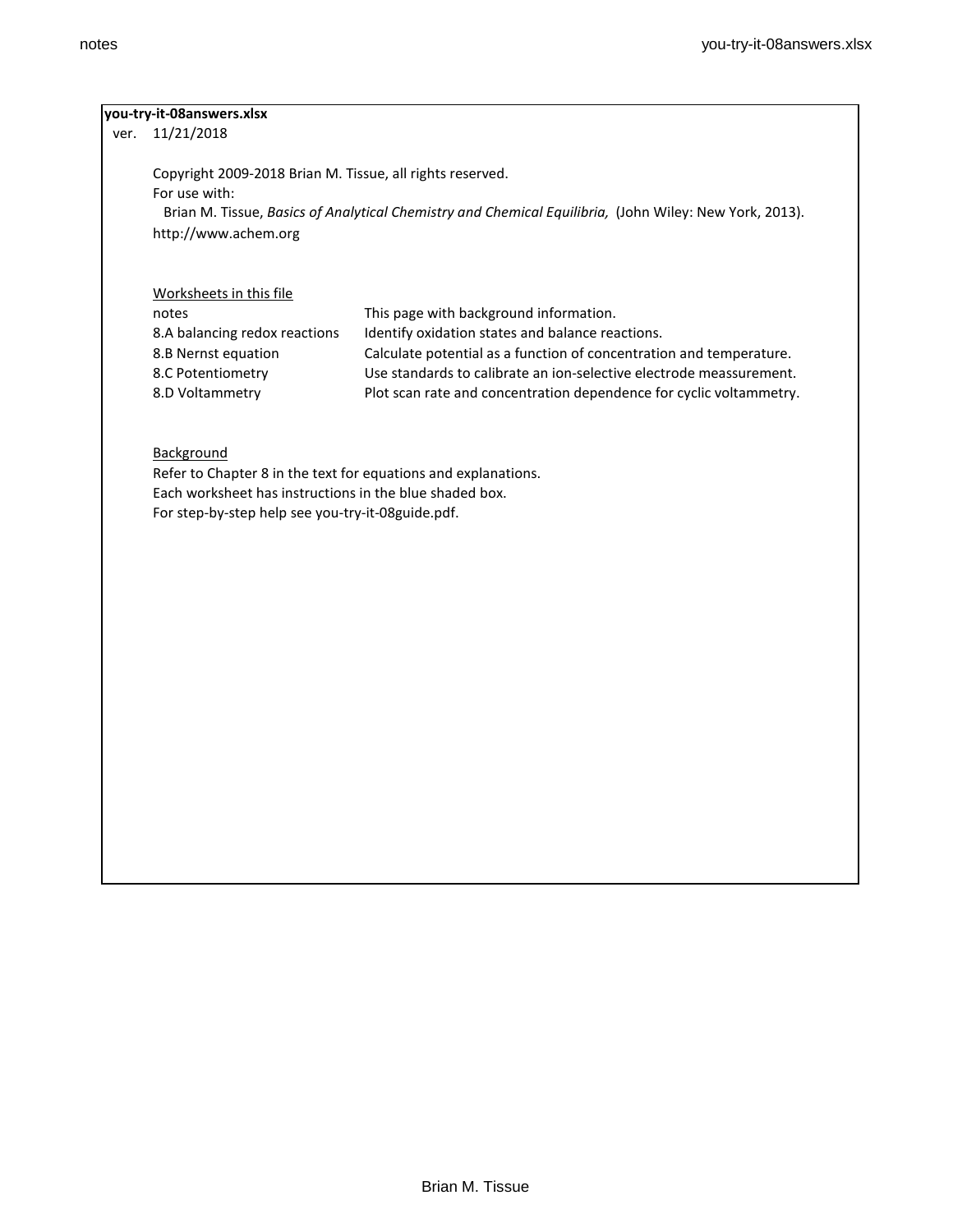# **you-try-it-08answers.xlsx**

ver. 11/21/2018

Copyright 2009-2018 Brian M. Tissue, all rights reserved. For use with: Brian M. Tissue, *Basics of Analytical Chemistry and Chemical Equilibria,* (John Wiley: New York, 2013). http://www.achem.org

# Worksheets in this file

| notes                         | This page with background information.                              |
|-------------------------------|---------------------------------------------------------------------|
| 8.A balancing redox reactions | Identify oxidation states and balance reactions.                    |
| 8.B Nernst equation           | Calculate potential as a function of concentration and temperature. |
| 8.C Potentiometry             | Use standards to calibrate an ion-selective electrode meassurement. |
| 8.D Voltammetry               | Plot scan rate and concentration dependence for cyclic voltammetry. |

# **Background**

Refer to Chapter 8 in the text for equations and explanations. Each worksheet has instructions in the blue shaded box. For step-by-step help see you-try-it-08guide.pdf.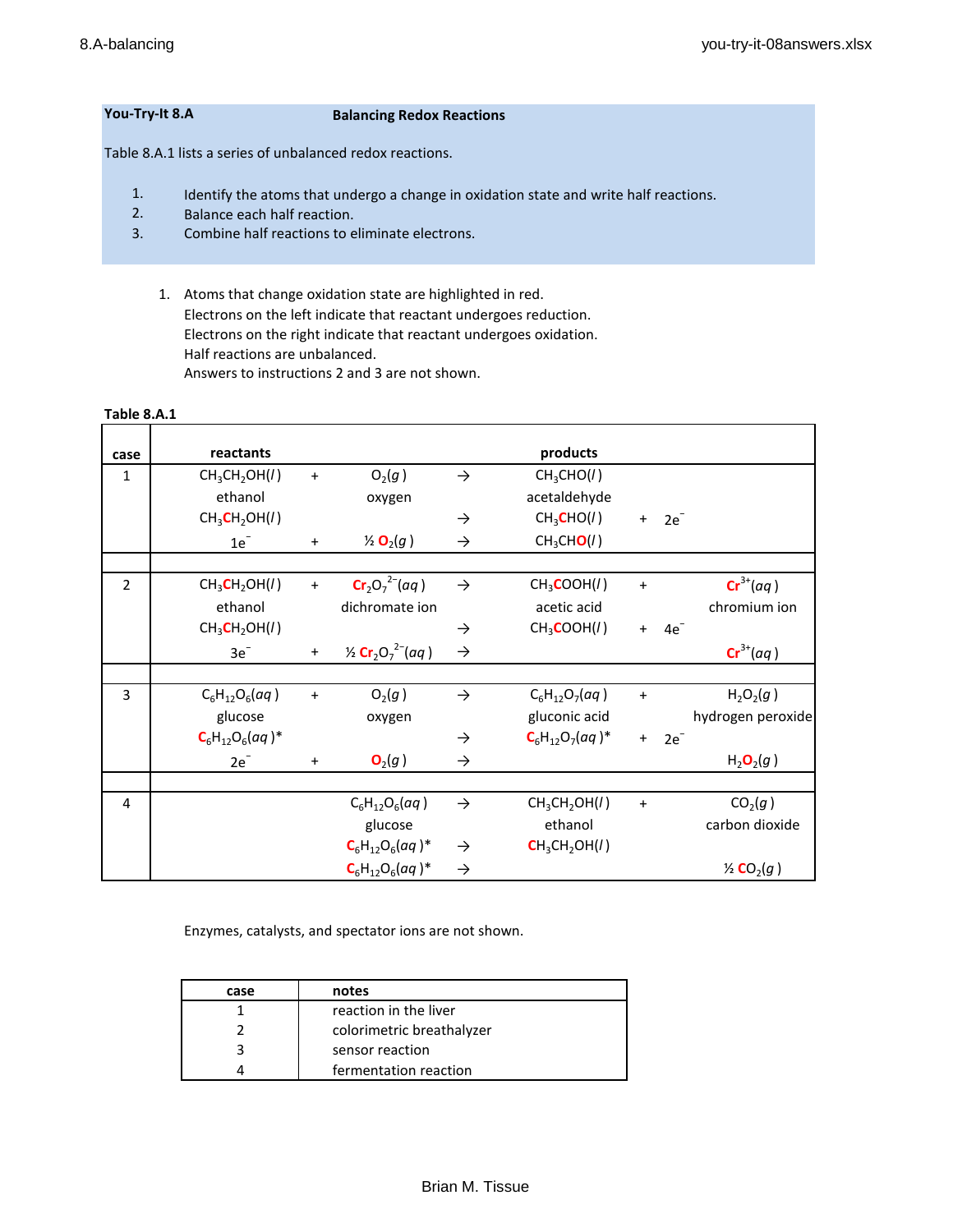# **You-Try-It 8.A Balancing Redox Reactions**

Table 8.A.1 lists a series of unbalanced redox reactions.

- 1. Identify the atoms that undergo a change in oxidation state and write half reactions.
- 2. Balance each half reaction.
- 3. Combine half reactions to eliminate electrons.
	- 1. Atoms that change oxidation state are highlighted in red. Electrons on the left indicate that reactant undergoes reduction. Electrons on the right indicate that reactant undergoes oxidation. Half reactions are unbalanced. Answers to instructions 2 and 3 are not shown.

#### **Table 8.A.1**

| case           | reactants                             |           |                                                                 |               | products                              |           |        |                                   |
|----------------|---------------------------------------|-----------|-----------------------------------------------------------------|---------------|---------------------------------------|-----------|--------|-----------------------------------|
| $\mathbf{1}$   | CH <sub>3</sub> CH <sub>2</sub> OH(1) | $\ddot{}$ | $O_2(g)$                                                        | $\rightarrow$ | CH <sub>3</sub> CHO(1)                |           |        |                                   |
|                | ethanol                               |           | oxygen                                                          |               | acetaldehyde                          |           |        |                                   |
|                | CH <sub>3</sub> CH <sub>2</sub> OH(1) |           |                                                                 | $\rightarrow$ | CH <sub>3</sub> CHO(I)                | $+$       | $2e^-$ |                                   |
|                | $1e^-$                                | $\ddot{}$ | $\frac{1}{2}$ O <sub>2</sub> (g)                                | $\rightarrow$ | CH <sub>3</sub> CHO(I)                |           |        |                                   |
|                |                                       |           |                                                                 |               |                                       |           |        |                                   |
| $\overline{2}$ | CH <sub>3</sub> CH <sub>2</sub> OH(1) | $\ddot{}$ | $Cr_2O_7^{2-}(aq)$                                              | $\rightarrow$ | CH <sub>3</sub> COOH(I)               | $\ddot{}$ |        | $Cr^{3+}(aq)$                     |
|                | ethanol                               |           | dichromate ion                                                  |               | acetic acid                           |           |        | chromium ion                      |
|                | CH <sub>3</sub> CH <sub>2</sub> OH(1) |           |                                                                 | $\rightarrow$ | CH <sub>3</sub> COOH(I)               | $+$       | $4e^-$ |                                   |
|                | $3e^-$                                | $\ddot{}$ | $\frac{1}{2}$ Cr <sub>2</sub> O <sub>7</sub> <sup>2-</sup> (aq) | $\rightarrow$ |                                       |           |        | $\mathbf{Cr}^{3+}(aq)$            |
|                |                                       |           |                                                                 |               |                                       |           |        |                                   |
| 3              | $C_6H_{12}O_6(aq)$                    | $\ddot{}$ | $O_2(g)$                                                        | $\rightarrow$ | $C_6H_{12}O_7(aq)$                    | $\ddot{}$ |        | $H_2O_2(g)$                       |
|                | glucose                               |           | oxygen                                                          |               | gluconic acid                         |           |        | hydrogen peroxide                 |
|                | $C_6H_{12}O_6(aq)^*$                  |           |                                                                 | $\rightarrow$ | $C_6H_{12}O_7(aq)^*$                  | $+$       | $2e^-$ |                                   |
|                | $2e^-$                                | +         | O <sub>2</sub> (g)                                              | $\rightarrow$ |                                       |           |        | $H_2O_2(g)$                       |
|                |                                       |           |                                                                 |               |                                       |           |        |                                   |
| $\overline{4}$ |                                       |           | $C_6H_{12}O_6(aq)$                                              | $\rightarrow$ | $CH_3CH_2OH(I)$                       | $\ddot{}$ |        | CO <sub>2</sub> (g)               |
|                |                                       |           | glucose                                                         |               | ethanol                               |           |        | carbon dioxide                    |
|                |                                       |           | $C_6H_{12}O_6(aq)^*$                                            | $\rightarrow$ | CH <sub>3</sub> CH <sub>2</sub> OH(1) |           |        |                                   |
|                |                                       |           | $C_6H_{12}O_6(aq)^*$                                            | $\rightarrow$ |                                       |           |        | $\frac{1}{2}$ CO <sub>2</sub> (g) |

Enzymes, catalysts, and spectator ions are not shown.

| case | notes                     |  |  |  |
|------|---------------------------|--|--|--|
|      | reaction in the liver     |  |  |  |
|      | colorimetric breathalyzer |  |  |  |
|      | sensor reaction           |  |  |  |
|      | fermentation reaction     |  |  |  |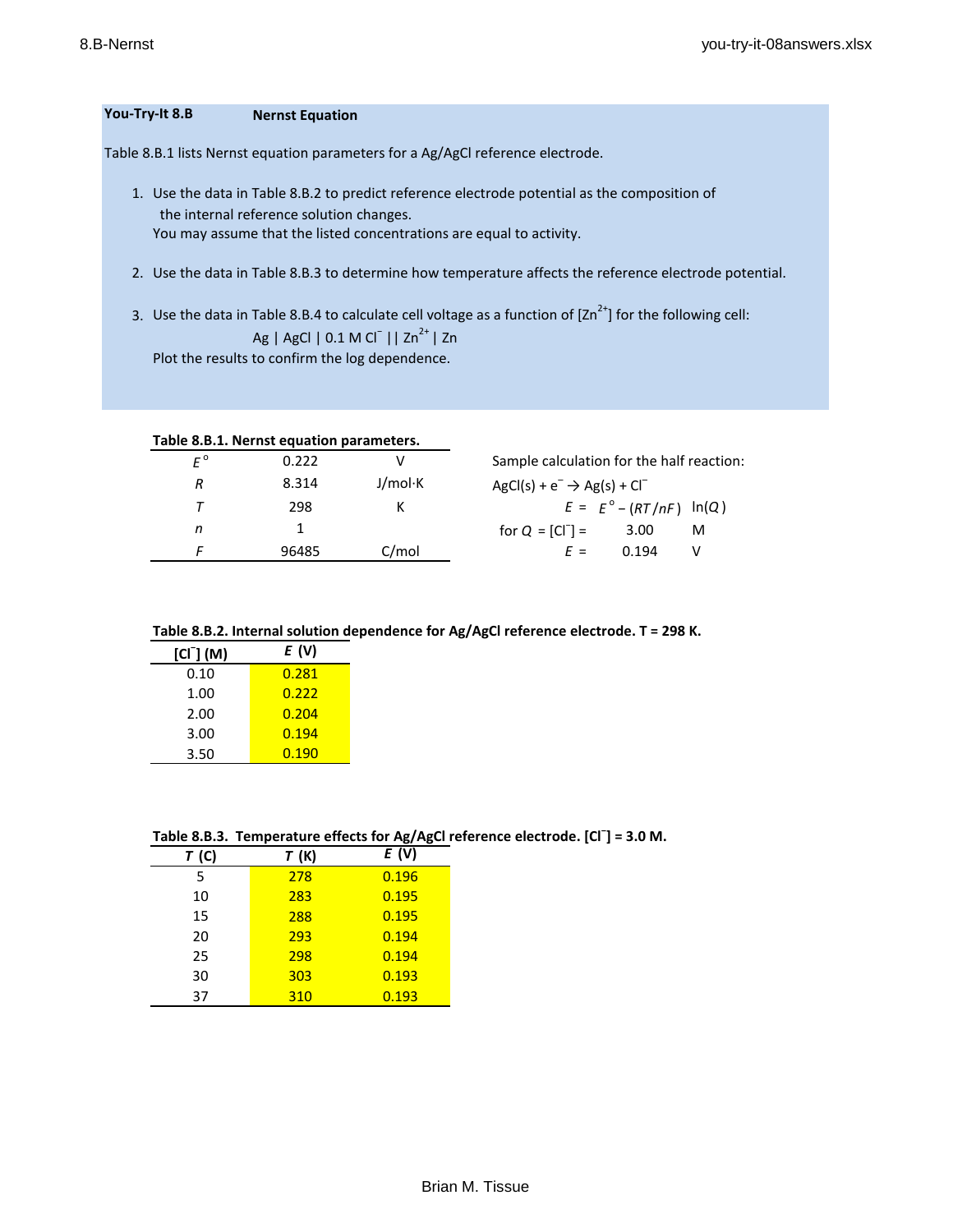# **You-Try-It 8.B Nernst Equation**

Table 8.B.1 lists Nernst equation parameters for a Ag/AgCl reference electrode.

- 1. Use the data in Table 8.B.2 to predict reference electrode potential as the composition of the internal reference solution changes. You may assume that the listed concentrations are equal to activity.
- 2. Use the data in Table 8.B.3 to determine how temperature affects the reference electrode potential.
- 3. Use the data in Table 8.B.4 to calculate cell voltage as a function of  $[2n^{2+}]$  for the following cell: Ag | AgCl | 0.1 M Cl<sup>−</sup> || Zn<sup>2+</sup> | Zn Plot the results to confirm the log dependence.

|    | Table 8.B.1. Nernst equation parameters. |         |                                           |                                  |   |
|----|------------------------------------------|---------|-------------------------------------------|----------------------------------|---|
| F° | 0.222                                    |         | Sample calculation for the half reaction: |                                  |   |
| R  | 8.314                                    | J/mol·K | $AgCl(s) + e^- \rightarrow Ag(s) + Cl^-$  |                                  |   |
|    | 298                                      |         |                                           | $E = E^{\circ} - (RT/nF) \ln(Q)$ |   |
| n  |                                          |         | for $Q = [CI^{-}] =$                      | 3.00                             | м |
|    | 96485                                    | C/mol   | $F =$                                     | በ 194                            |   |

## **Table 8.B.2. Internal solution dependence for Ag/AgCl reference electrode. T = 298 K.**

| $[CI-] (M)$ | E (V) |
|-------------|-------|
| 0.10        | 0.281 |
| 1.00        | 0.222 |
| 2.00        | 0.204 |
| 3.00        | 0.194 |
| 3.50        | 0.190 |

|  | Table 8.B.3. Temperature effects for Ag/AgCI reference electrode. [CI ] = 3.0 M. |  |  |  |  |  |
|--|----------------------------------------------------------------------------------|--|--|--|--|--|
|--|----------------------------------------------------------------------------------|--|--|--|--|--|

| T(G) | T(K) | E(V)  |  |  |  |  |
|------|------|-------|--|--|--|--|
| 5    | 278  | 0.196 |  |  |  |  |
| 10   | 283  | 0.195 |  |  |  |  |
| 15   | 288  | 0.195 |  |  |  |  |
| 20   | 293  | 0.194 |  |  |  |  |
| 25   | 298  | 0.194 |  |  |  |  |
| 30   | 303  | 0.193 |  |  |  |  |
| 37   | 310  | 0.193 |  |  |  |  |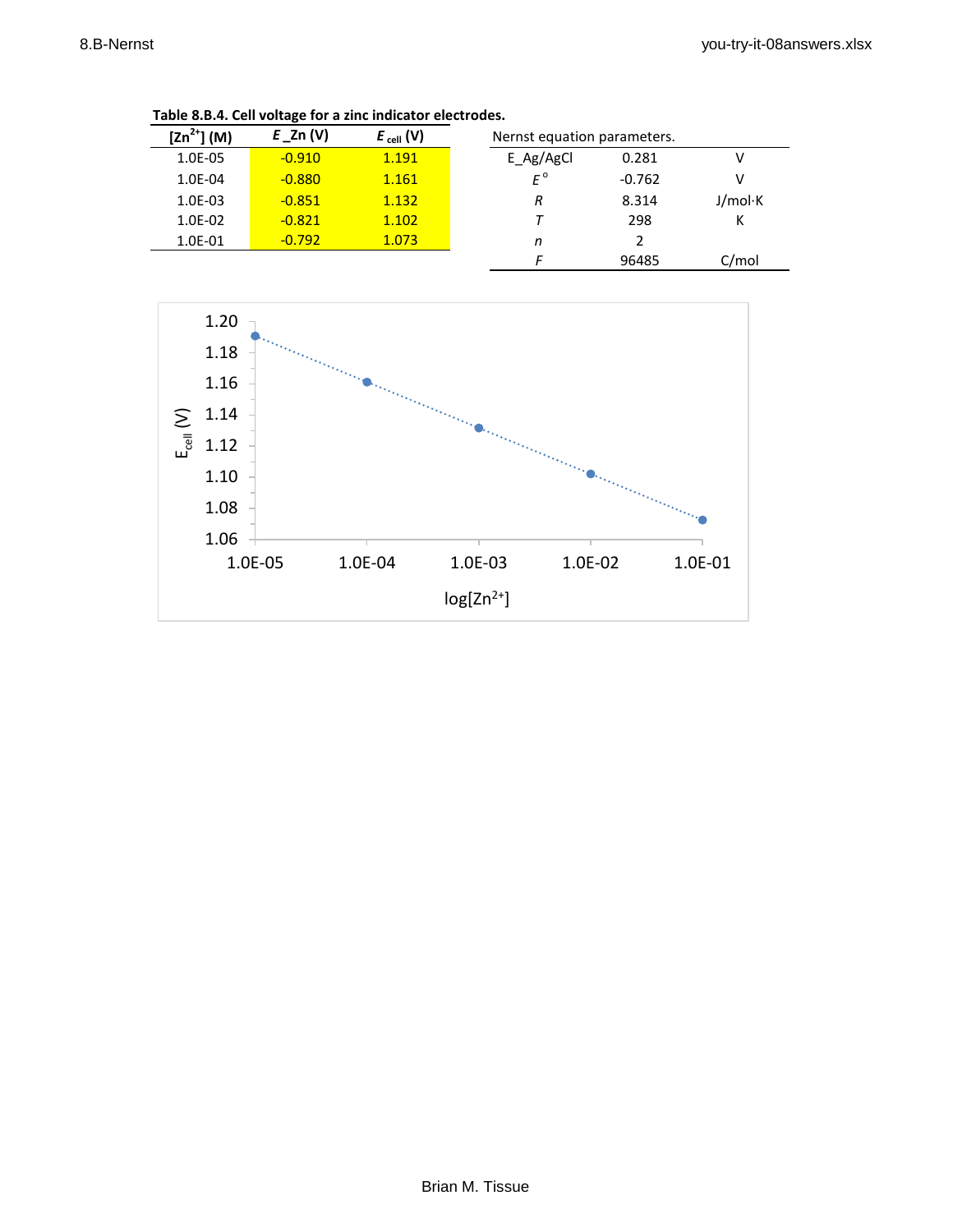| $[2n^{2+}] (M)$ | $E_2$ n (V) | $E_{cell}(V)$ | Nernst equation parameters. |          |         |
|-----------------|-------------|---------------|-----------------------------|----------|---------|
| 1.0E-05         | $-0.910$    | 1.191         | E Ag/AgCl                   | 0.281    |         |
| 1.0E-04         | $-0.880$    | 1.161         | $F^{\circ}$                 | $-0.762$ | v       |
| $1.0E-03$       | $-0.851$    | 1.132         | R                           | 8.314    | J/mol·K |
| 1.0E-02         | $-0.821$    | 1.102         |                             | 298      | К       |
| 1.0E-01         | $-0.792$    | 1.073         | n                           | 2        |         |
|                 |             |               |                             | 96485    | C/mol   |

**Table 8.B.4. Cell voltage for a zinc indicator electrodes.**

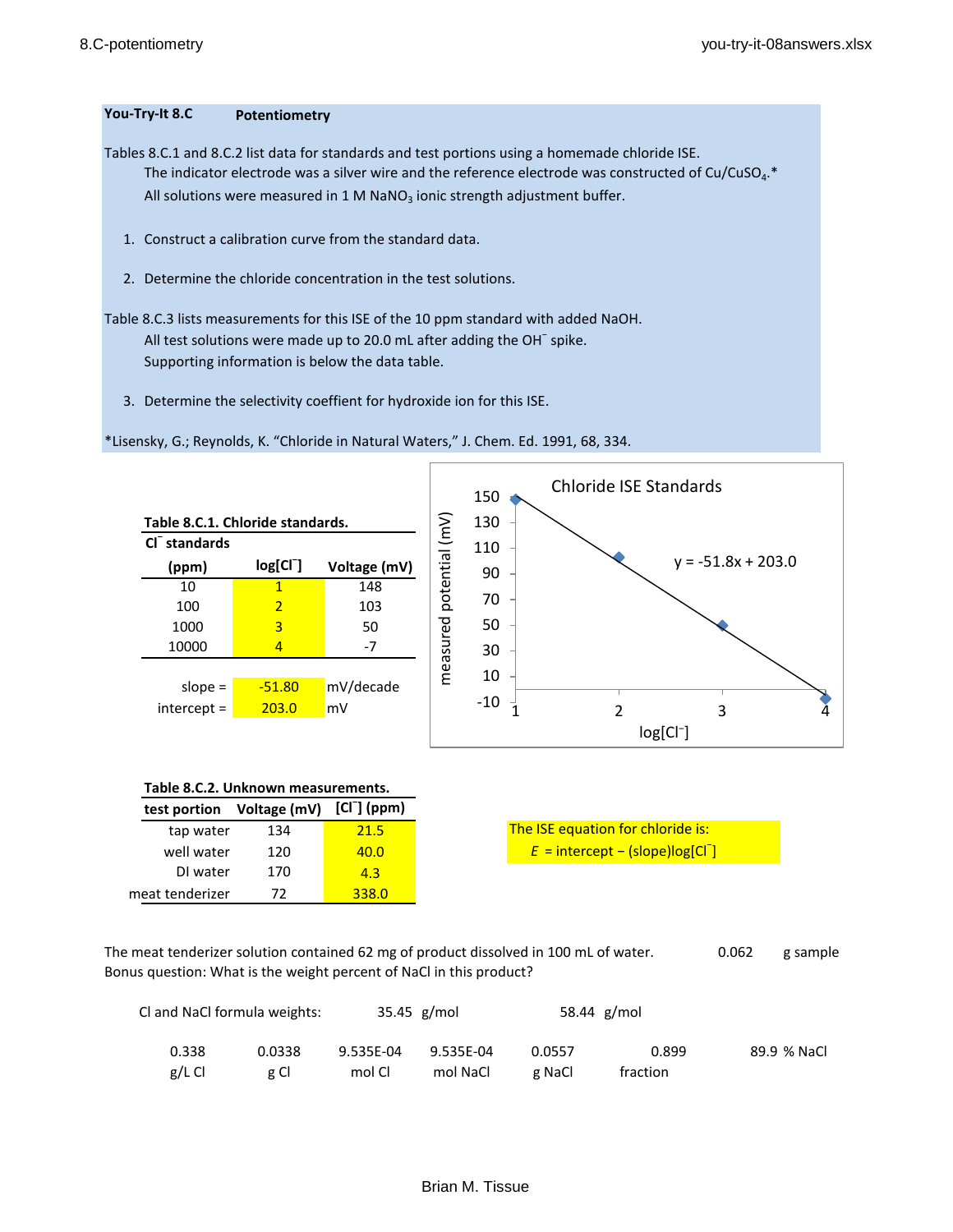# **You-Try-It 8.C Potentiometry**

Tables 8.C.1 and 8.C.2 list data for standards and test portions using a homemade chloride ISE. The indicator electrode was a silver wire and the reference electrode was constructed of Cu/CuSO<sub>4</sub>.\* All solutions were measured in 1 M NaNO<sub>3</sub> ionic strength adjustment buffer.

- 1. Construct a calibration curve from the standard data.
- 2. Determine the chloride concentration in the test solutions.
- Table 8.C.3 lists measurements for this ISE of the 10 ppm standard with added NaOH. All test solutions were made up to 20.0 mL after adding the OH<sup>-</sup> spike. Supporting information is below the data table.
	- 3. Determine the selectivity coeffient for hydroxide ion for this ISE.



\*Lisensky, G.; Reynolds, K. "Chloride in Natural Waters," J. Chem. Ed. 1991, 68, 334.

|  |  | Table 8.C.2. Unknown measurements. |
|--|--|------------------------------------|
|--|--|------------------------------------|

| test portion    | Voltage (mV) [Cl ] (ppm) |       |
|-----------------|--------------------------|-------|
| tap water       | 134                      | 21.5  |
| well water      | 120                      | 40.0  |
| DI water        | 170                      | 4.3   |
| meat tenderizer | 72.                      | 338.0 |

The ISE equation for chloride is:

The meat tenderizer solution contained 62 mg of product dissolved in 100 mL of water. 0.062 g sample Bonus question: What is the weight percent of NaCl in this product?

|          | Cl and NaCl formula weights:<br>$35.45$ g/mol |           |           |        | 58.44 g/mol |             |
|----------|-----------------------------------------------|-----------|-----------|--------|-------------|-------------|
| 0.338    | 0.0338                                        | 9.535E-04 | 9.535E-04 | 0.0557 | 0.899       | 89.9 % NaCl |
| $g/L$ Cl | g Cl                                          | mol Cl    | mol NaCl  | g NaCl | fraction    |             |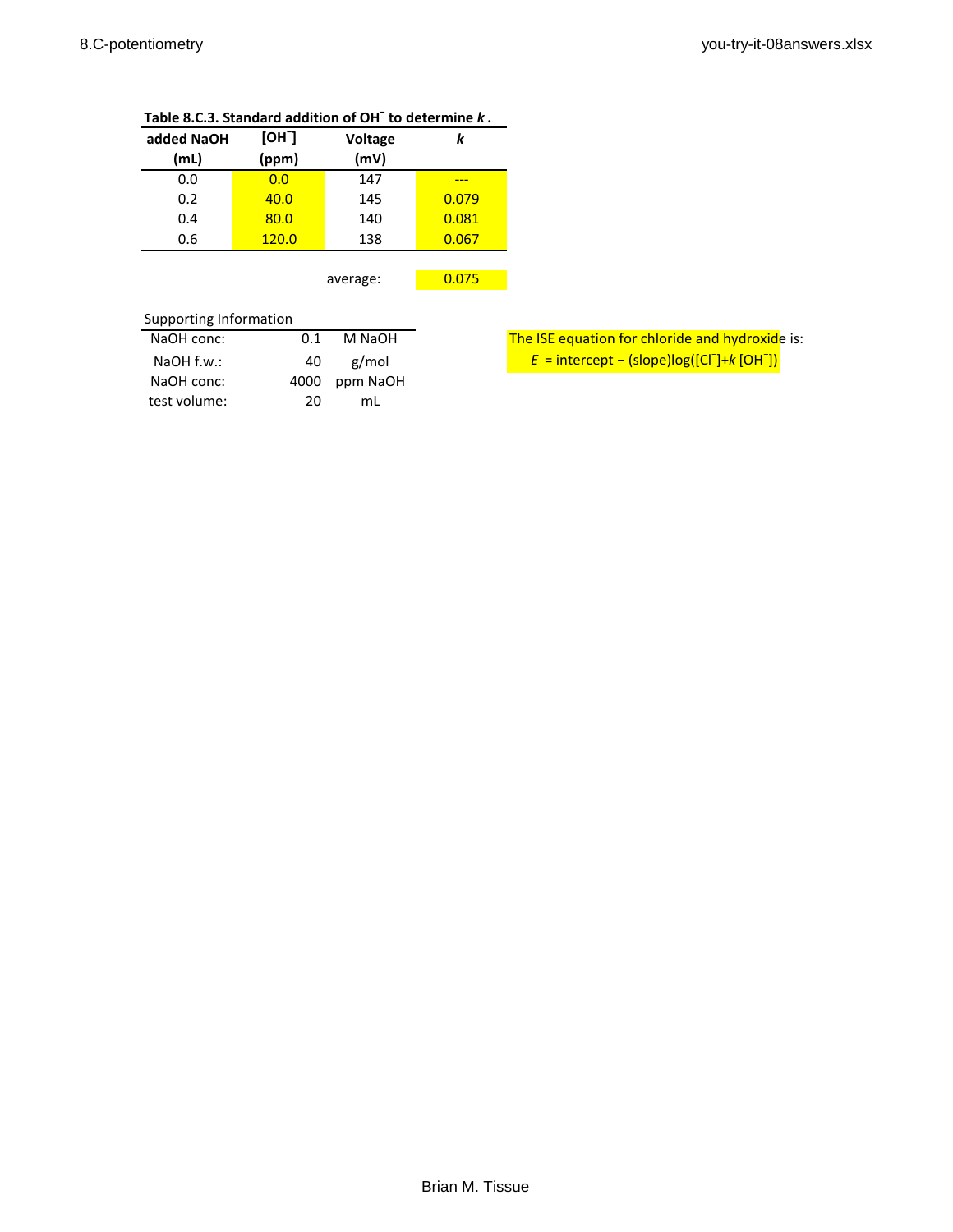| added NaOH<br>(mL) | [OH]<br>(ppm) | <b>Voltage</b><br>(mV) | k     |  |  |  |  |
|--------------------|---------------|------------------------|-------|--|--|--|--|
| 0.0                | 0.0           | 147                    |       |  |  |  |  |
| 0.2                | 40.0          | 145                    | 0.079 |  |  |  |  |
| 0.4                | 80.0          | 140                    | 0.081 |  |  |  |  |
| 0.6                | 120.0         | 138                    | 0.067 |  |  |  |  |
|                    |               |                        |       |  |  |  |  |
|                    |               | average:               | 0.075 |  |  |  |  |
|                    |               |                        |       |  |  |  |  |

# **Table 8.C.3. Standard addition of OH<sup>−</sup> to determine** *k* **.**

# Supporting Information

| 0.1  | M NaOH | The ISE equation for chloride and hydroxid                            |
|------|--------|-----------------------------------------------------------------------|
| 40   | g/mol  | $E =$ intercept – (slope)log([Cl <sup>-</sup> ]+k [OH <sup>-</sup> ]) |
| 4000 |        |                                                                       |
| 20   | mL     |                                                                       |
|      |        | ppm NaOH                                                              |

The ISE equation for chloride and hydroxide is: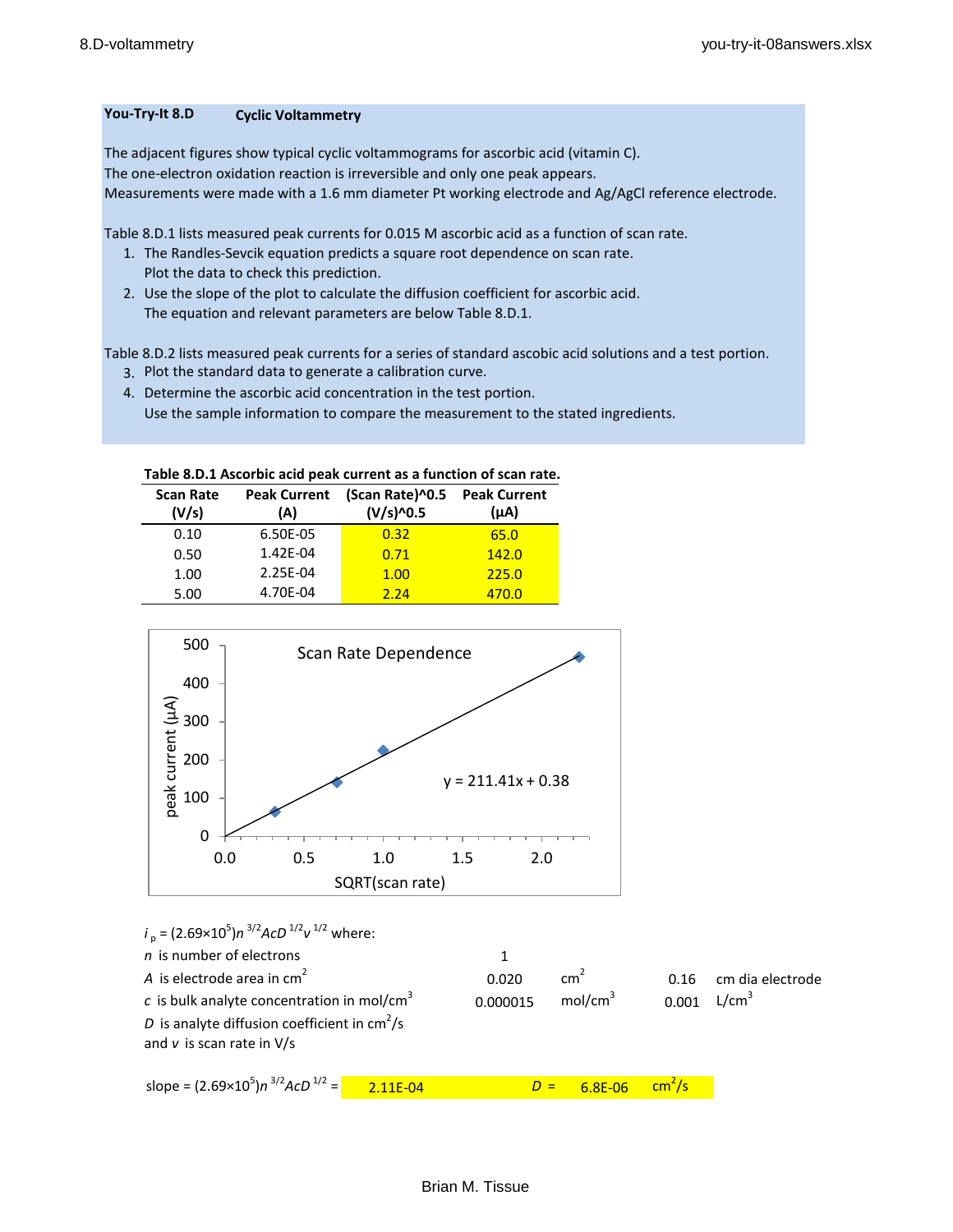# **You-Try-It 8.D Cyclic Voltammetry**

The adjacent figures show typical cyclic voltammograms for ascorbic acid (vitamin C). The one-electron oxidation reaction is irreversible and only one peak appears. Measurements were made with a 1.6 mm diameter Pt working electrode and Ag/AgCl reference electrode.

Table 8.D.1 lists measured peak currents for 0.015 M ascorbic acid as a function of scan rate.

- 1. The Randles-Sevcik equation predicts a square root dependence on scan rate. Plot the data to check this prediction.
- 2. Use the slope of the plot to calculate the diffusion coefficient for ascorbic acid. The equation and relevant parameters are below Table 8.D.1.

Table 8.D.2 lists measured peak currents for a series of standard ascobic acid solutions and a test portion.

- 3. Plot the standard data to generate a calibration curve.
- 4. Determine the ascorbic acid concentration in the test portion. Use the sample information to compare the measurement to the stated ingredients.

| Table 8.D.1 Ascorbic acid peak current as a function of scan rate. |  |
|--------------------------------------------------------------------|--|
|--------------------------------------------------------------------|--|

| <b>Scan Rate</b><br>(V/s) | <b>Peak Current</b><br>(A) | (Scan Rate)^0.5<br>(V/s)^0.5 | <b>Peak Current</b><br>$(\mu A)$ |
|---------------------------|----------------------------|------------------------------|----------------------------------|
| 0.10                      | 6.50E-05                   | 0.32                         | 65.0                             |
| 0.50                      | 1.42E-04                   | 0.71                         | 142.0                            |
| 1.00                      | 2.25E-04                   | 1.00                         | 225.0                            |
| 5.00                      | 4.70E-04                   | 2.24                         | 470.0                            |



$$
i_p = (2.69 \times 10^5) n^{3/2} A c D^{1/2} v^{1/2} \text{ where:}
$$
  
\n*n* is number of electrons  
\n*A* is electrode area in cm<sup>2</sup> 0.020 cm<sup>2</sup> 0.16 cm dia electrode  
\n*c* is bulk analytic concentration in mol/cm<sup>3</sup> 0.000015 mol/cm<sup>3</sup> 0.001 L/cm<sup>3</sup>  
\n*D* is analytic diffusion coefficient in cm<sup>2</sup>/s  
\nand *v* is scan rate in V/s  
\nslope =  $(2.69 \times 10^5) n^{3/2} A c D^{1/2} = 2.11E-04$  *D* = 6.8E-06 cm<sup>2</sup>/s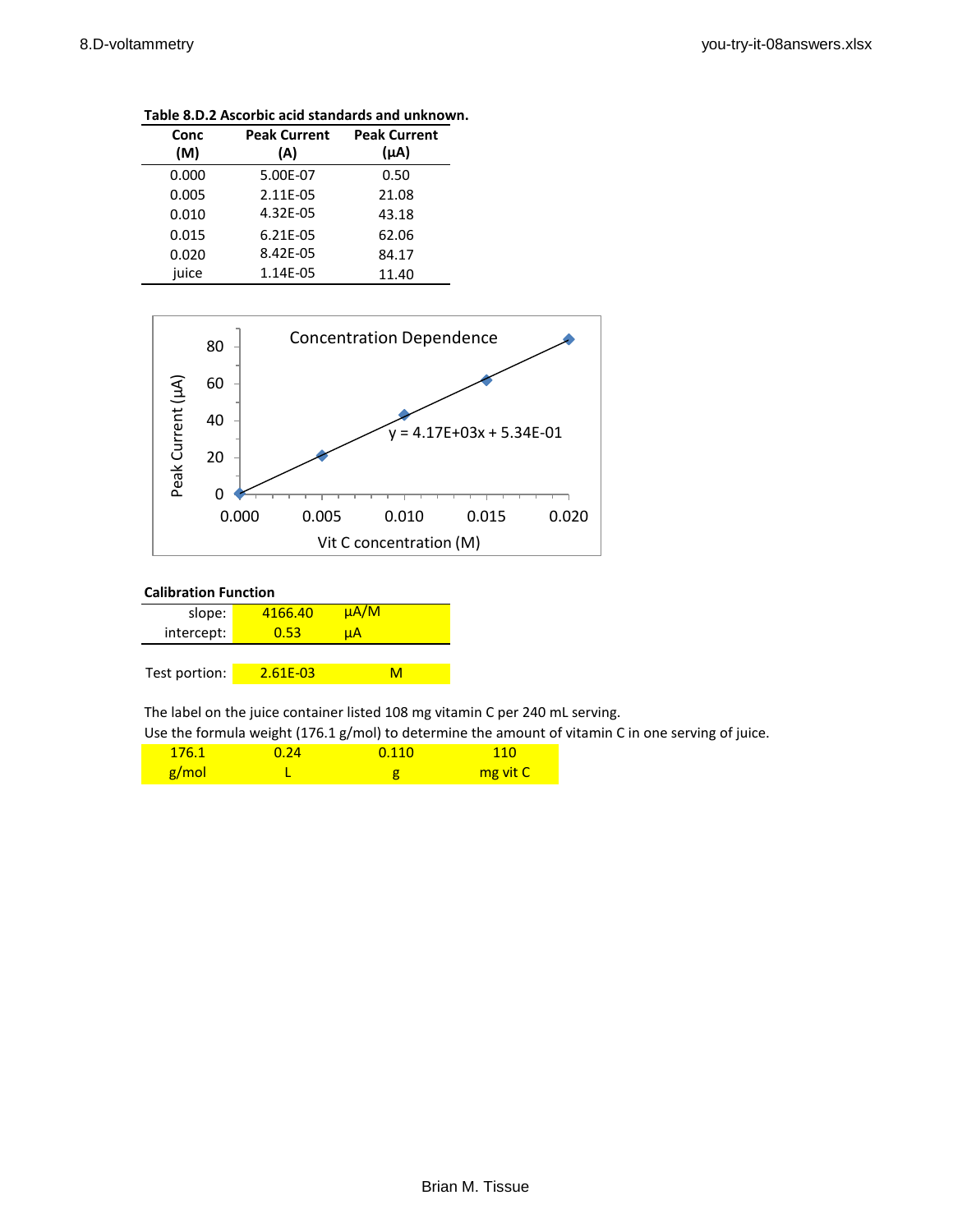| Conc<br>(M) | <b>Peak Current</b><br>(A) | <b>Peak Current</b><br>$(\mu A)$ |
|-------------|----------------------------|----------------------------------|
| 0.000       | 5.00E-07                   | 0.50                             |
| 0.005       | 2.11E-05                   | 21.08                            |
| 0.010       | 4.32E-05                   | 43.18                            |
| 0.015       | 6.21E-05                   | 62.06                            |
| 0.020       | 8.42E-05                   | 84.17                            |
| juice       | 1.14E-05                   | 11.40                            |

**Table 8.D.2 Ascorbic acid standards and unknown.**



### **Calibration Function**

| slope:        | 4166.40  | $\mu A/M$ |
|---------------|----------|-----------|
| intercept:    | 0.53     | uA        |
|               |          |           |
| Test portion: | 2.61E-03 | м         |

The label on the juice container listed 108 mg vitamin C per 240 mL serving.

Use the formula weight (176.1 g/mol) to determine the amount of vitamin C in one serving of juice.

| 176.1 | 0.24 | 0.110 | <b>110</b> |
|-------|------|-------|------------|
| g/mol |      |       | mg vit C   |